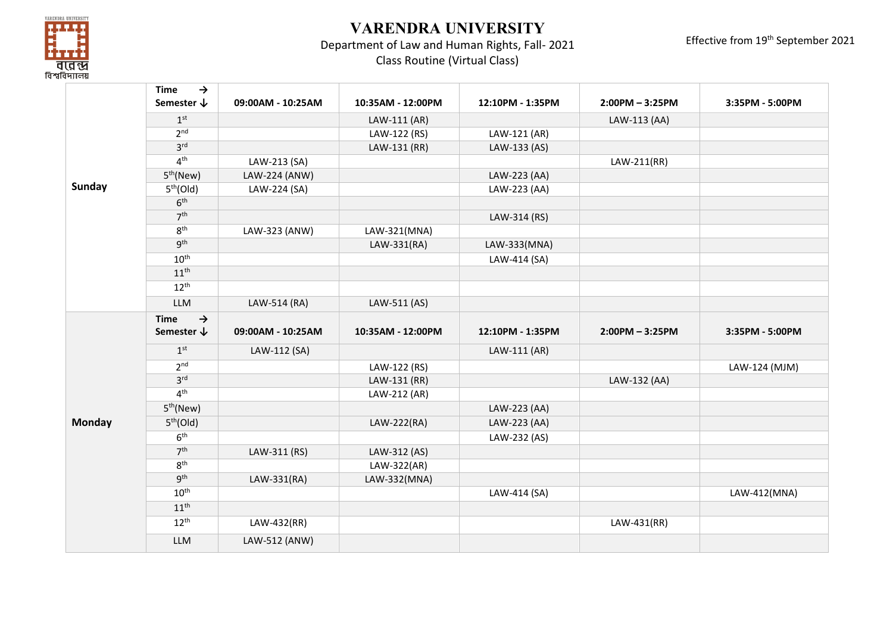

## **VARENDRA UNIVERSITY**

## Department of Law and Human Rights, Fall- 2021

Effective from 19th September 2021

Class Routine (Virtual Class)

|               | <b>Time</b><br>$\rightarrow$ |                   |                   |                  |                   |                 |
|---------------|------------------------------|-------------------|-------------------|------------------|-------------------|-----------------|
|               | Semester $\downarrow$        | 09:00AM - 10:25AM | 10:35AM - 12:00PM | 12:10PM - 1:35PM | $2:00PM - 3:25PM$ | 3:35PM - 5:00PM |
|               | 1 <sup>st</sup>              |                   | LAW-111 (AR)      |                  | LAW-113 (AA)      |                 |
|               | 2 <sup>nd</sup>              |                   | LAW-122 (RS)      | LAW-121 (AR)     |                   |                 |
|               | 3 <sup>rd</sup>              |                   | LAW-131 (RR)      | LAW-133 (AS)     |                   |                 |
|               | 4 <sup>th</sup>              | LAW-213 (SA)      |                   |                  | LAW-211(RR)       |                 |
|               | 5 <sup>th</sup> (New)        | LAW-224 (ANW)     |                   | LAW-223 (AA)     |                   |                 |
| Sunday        | 5 <sup>th</sup> (Old)        | LAW-224 (SA)      |                   | LAW-223 (AA)     |                   |                 |
|               | 6 <sup>th</sup>              |                   |                   |                  |                   |                 |
|               | 7 <sup>th</sup>              |                   |                   | LAW-314 (RS)     |                   |                 |
|               | 8 <sup>th</sup>              | LAW-323 (ANW)     | LAW-321(MNA)      |                  |                   |                 |
|               | gth                          |                   | LAW-331(RA)       | LAW-333(MNA)     |                   |                 |
|               | $10^{\text{th}}$             |                   |                   | LAW-414 (SA)     |                   |                 |
|               | $11^{\text{th}}$             |                   |                   |                  |                   |                 |
|               | $12^{th}$                    |                   |                   |                  |                   |                 |
|               | <b>LLM</b>                   | LAW-514 (RA)      | LAW-511 (AS)      |                  |                   |                 |
|               | $\rightarrow$<br><b>Time</b> |                   |                   |                  |                   |                 |
|               | Semester $\downarrow$        | 09:00AM - 10:25AM | 10:35AM - 12:00PM | 12:10PM - 1:35PM | $2:00PM - 3:25PM$ | 3:35PM - 5:00PM |
|               | 1 <sup>st</sup>              | LAW-112 (SA)      |                   | LAW-111 (AR)     |                   |                 |
|               | 2 <sup>nd</sup>              |                   | LAW-122 (RS)      |                  |                   | LAW-124 (MJM)   |
|               | 3 <sup>rd</sup>              |                   | LAW-131 (RR)      |                  | LAW-132 (AA)      |                 |
|               | 4 <sup>th</sup>              |                   | LAW-212 (AR)      |                  |                   |                 |
|               | 5 <sup>th</sup> (New)        |                   |                   | LAW-223 (AA)     |                   |                 |
| <b>Monday</b> | 5 <sup>th</sup> (Old)        |                   | LAW-222(RA)       | LAW-223 (AA)     |                   |                 |
|               | 6 <sup>th</sup>              |                   |                   | LAW-232 (AS)     |                   |                 |
|               | 7 <sup>th</sup>              | LAW-311 (RS)      | LAW-312 (AS)      |                  |                   |                 |
|               | 8 <sup>th</sup>              |                   | LAW-322(AR)       |                  |                   |                 |
|               | $q^{th}$                     | LAW-331(RA)       | LAW-332(MNA)      |                  |                   |                 |
|               | $10^{\text{th}}$             |                   |                   | LAW-414 (SA)     |                   | LAW-412(MNA)    |
|               | $11^{\text{th}}$             |                   |                   |                  |                   |                 |
|               | $12^{th}$                    | LAW-432(RR)       |                   |                  | LAW-431(RR)       |                 |
|               | <b>LLM</b>                   | LAW-512 (ANW)     |                   |                  |                   |                 |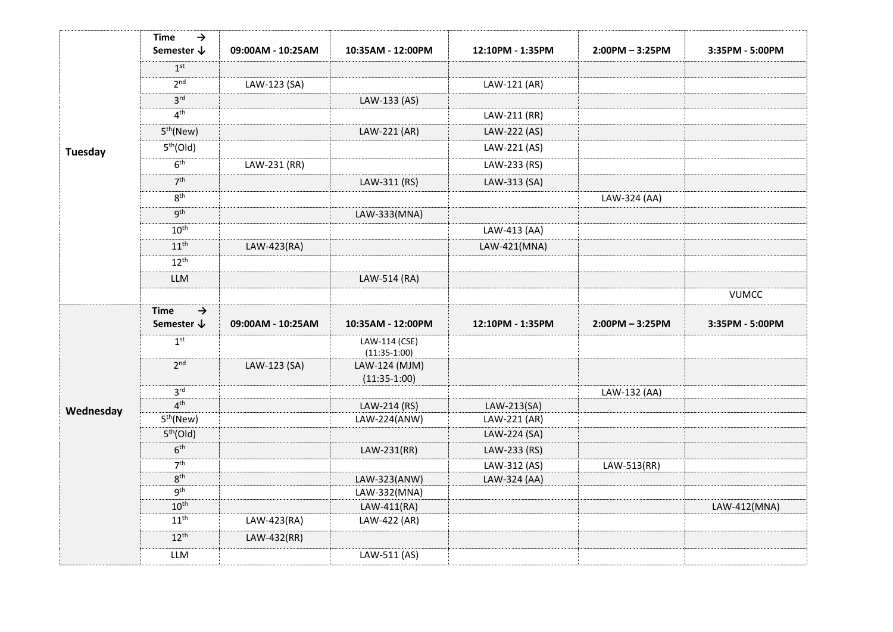| <b>Tuesday</b> | $\rightarrow$<br><b>Time</b><br>Semester $\downarrow$ | 09:00AM - 10:25AM | 10:35AM - 12:00PM               | 12:10PM - 1:35PM             | $2:00PM - 3:25PM$ | 3:35PM - 5:00PM |
|----------------|-------------------------------------------------------|-------------------|---------------------------------|------------------------------|-------------------|-----------------|
|                | 1 <sup>st</sup>                                       |                   |                                 |                              |                   |                 |
|                | 2 <sup>nd</sup>                                       | LAW-123 (SA)      |                                 | LAW-121 (AR)                 |                   |                 |
|                | 3 <sup>rd</sup>                                       |                   | LAW-133 (AS)                    |                              |                   |                 |
|                | 4 <sup>th</sup>                                       |                   |                                 | LAW-211 (RR)                 |                   |                 |
|                | 5 <sup>th</sup> (New)                                 |                   | LAW-221 (AR)                    | LAW-222 (AS)                 |                   |                 |
|                | 5 <sup>th</sup> (Old)                                 |                   |                                 | LAW-221 (AS)                 |                   |                 |
|                | 6 <sup>th</sup>                                       | LAW-231 (RR)      |                                 | LAW-233 (RS)                 |                   |                 |
|                | 7 <sup>th</sup>                                       |                   | LAW-311 (RS)                    | LAW-313 (SA)                 |                   |                 |
|                | $8^{\text{th}}$                                       |                   |                                 |                              | LAW-324 (AA)      |                 |
|                | 9 <sup>th</sup>                                       |                   | LAW-333(MNA)                    |                              |                   |                 |
|                | $10^{\text{th}}$                                      |                   |                                 | LAW-413 (AA)                 |                   |                 |
|                | 11 <sup>th</sup>                                      | LAW-423(RA)       |                                 | LAW-421(MNA)                 |                   |                 |
|                | $12^{th}$                                             |                   |                                 |                              |                   |                 |
|                | LLM                                                   |                   | LAW-514 (RA)                    |                              |                   |                 |
|                |                                                       |                   |                                 |                              |                   | <b>VUMCC</b>    |
|                |                                                       |                   |                                 |                              |                   |                 |
|                | <b>Time</b><br>$\rightarrow$                          |                   |                                 |                              |                   |                 |
|                | Semester $\downarrow$                                 | 09:00AM - 10:25AM | 10:35AM - 12:00PM               | 12:10PM - 1:35PM             | $2:00PM - 3:25PM$ | 3:35PM - 5:00PM |
|                | 1 <sup>st</sup>                                       |                   | LAW-114 (CSE)                   |                              |                   |                 |
|                | 2 <sub>nd</sub>                                       | LAW-123 (SA)      | $(11:35-1:00)$<br>LAW-124 (MJM) |                              |                   |                 |
|                |                                                       |                   | $(11:35-1:00)$                  |                              |                   |                 |
|                | 3 <sup>rd</sup>                                       |                   |                                 |                              | LAW-132 (AA)      |                 |
| Wednesday      | 4 <sup>th</sup>                                       |                   | LAW-214 (RS)                    | LAW-213(SA)                  |                   |                 |
|                | 5 <sup>th</sup> (New)<br>5 <sup>th</sup> (Old)        |                   | LAW-224(ANW)                    | LAW-221 (AR)<br>LAW-224 (SA) |                   |                 |
|                | 6 <sup>th</sup>                                       |                   | LAW-231(RR)                     | LAW-233 (RS)                 |                   |                 |
|                | 7 <sup>th</sup>                                       |                   |                                 | LAW-312 (AS)                 | LAW-513(RR)       |                 |
|                | 8 <sup>th</sup>                                       |                   | LAW-323(ANW)                    | LAW-324 (AA)                 |                   |                 |
|                | 9 <sup>th</sup>                                       |                   | LAW-332(MNA)                    |                              |                   |                 |
|                | $10^{\text{th}}$                                      |                   | LAW-411(RA)                     |                              |                   | LAW-412(MNA)    |
|                | $11^{\text{th}}$                                      | LAW-423(RA)       | LAW-422 (AR)                    |                              |                   |                 |
|                | $12^{th}$                                             | LAW-432(RR)       |                                 |                              |                   |                 |